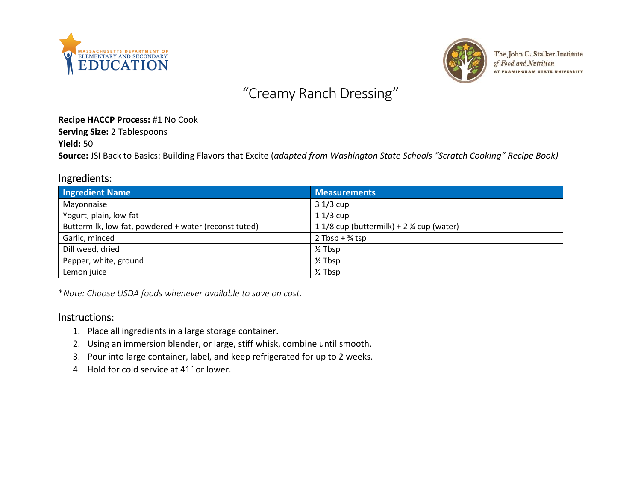



The John C. Stalker Institute of Food and Nutrition AT FRAMINGHAM STATE UNIVERSITY

# "Creamy Ranch Dressing"

#### **Recipe HACCP Process:** #1 No Cook

**Serving Size:** 2 Tablespoons

**Yield:** 50

**Source:** JSI Back to Basics: Building Flavors that Excite (*adapted from Washington State Schools "Scratch Cooking" Recipe Book)*

#### Ingredients:

| <b>Ingredient Name</b>                                | <b>Measurements</b>                                  |
|-------------------------------------------------------|------------------------------------------------------|
| Mayonnaise                                            | $31/3$ cup                                           |
| Yogurt, plain, low-fat                                | $11/3$ cup                                           |
| Buttermilk, low-fat, powdered + water (reconstituted) | 1 1/8 cup (buttermilk) + 2 $\frac{1}{2}$ cup (water) |
| Garlic, minced                                        | 2 Tbsp + $\frac{3}{4}$ tsp                           |
| Dill weed, dried                                      | $\frac{1}{2}$ Tbsp                                   |
| Pepper, white, ground                                 | $\frac{1}{2}$ Tbsp                                   |
| Lemon juice                                           | $\frac{1}{2}$ Tbsp                                   |

\**Note: Choose USDA foods whenever available to save on cost.*

### Instructions:

- 1. Place all ingredients in a large storage container.
- 2. Using an immersion blender, or large, stiff whisk, combine until smooth.
- 3. Pour into large container, label, and keep refrigerated for up to 2 weeks.
- 4. Hold for cold service at 41˚ or lower.